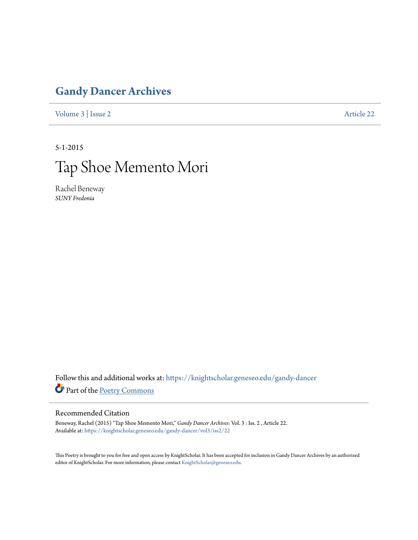## **[Gandy Dancer Archives](https://knightscholar.geneseo.edu/gandy-dancer?utm_source=knightscholar.geneseo.edu%2Fgandy-dancer%2Fvol3%2Fiss2%2F22&utm_medium=PDF&utm_campaign=PDFCoverPages)**

[Volume 3](https://knightscholar.geneseo.edu/gandy-dancer/vol3?utm_source=knightscholar.geneseo.edu%2Fgandy-dancer%2Fvol3%2Fiss2%2F22&utm_medium=PDF&utm_campaign=PDFCoverPages) | [Issue 2](https://knightscholar.geneseo.edu/gandy-dancer/vol3/iss2?utm_source=knightscholar.geneseo.edu%2Fgandy-dancer%2Fvol3%2Fiss2%2F22&utm_medium=PDF&utm_campaign=PDFCoverPages) [Article 22](https://knightscholar.geneseo.edu/gandy-dancer/vol3/iss2/22?utm_source=knightscholar.geneseo.edu%2Fgandy-dancer%2Fvol3%2Fiss2%2F22&utm_medium=PDF&utm_campaign=PDFCoverPages)

5-1-2015

## Tap Shoe Memento Mori

Rachel Beneway *SUNY Fredonia*

Follow this and additional works at: [https://knightscholar.geneseo.edu/gandy-dancer](https://knightscholar.geneseo.edu/gandy-dancer?utm_source=knightscholar.geneseo.edu%2Fgandy-dancer%2Fvol3%2Fiss2%2F22&utm_medium=PDF&utm_campaign=PDFCoverPages) Part of the [Poetry Commons](http://network.bepress.com/hgg/discipline/1153?utm_source=knightscholar.geneseo.edu%2Fgandy-dancer%2Fvol3%2Fiss2%2F22&utm_medium=PDF&utm_campaign=PDFCoverPages)

## Recommended Citation

Beneway, Rachel (2015) "Tap Shoe Memento Mori," *Gandy Dancer Archives*: Vol. 3 : Iss. 2 , Article 22. Available at: [https://knightscholar.geneseo.edu/gandy-dancer/vol3/iss2/22](https://knightscholar.geneseo.edu/gandy-dancer/vol3/iss2/22?utm_source=knightscholar.geneseo.edu%2Fgandy-dancer%2Fvol3%2Fiss2%2F22&utm_medium=PDF&utm_campaign=PDFCoverPages)

This Poetry is brought to you for free and open access by KnightScholar. It has been accepted for inclusion in Gandy Dancer Archives by an authorized editor of KnightScholar. For more information, please contact [KnightScholar@geneseo.edu.](mailto:KnightScholar@geneseo.edu)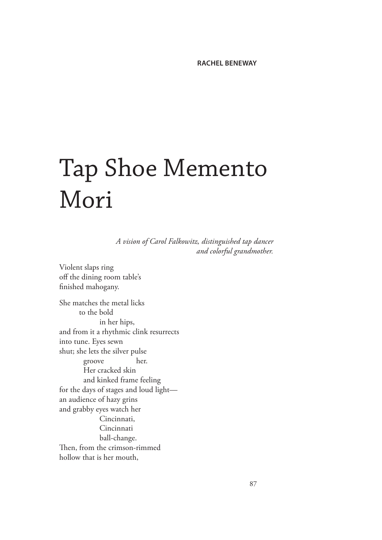## Tap Shoe Memento Mori

*A vision of Carol Falkowitz, distinguished tap dancer and colorful grandmother.*

Violent slaps ring off the dining room table's finished mahogany. She matches the metal licks to the bold in her hips, and from it a rhythmic clink resurrects into tune. Eyes sewn shut; she lets the silver pulse groove her. Her cracked skin and kinked frame feeling for the days of stages and loud light an audience of hazy grins and grabby eyes watch her Cincinnati, Cincinnati ball-change. Then, from the crimson-rimmed hollow that is her mouth,